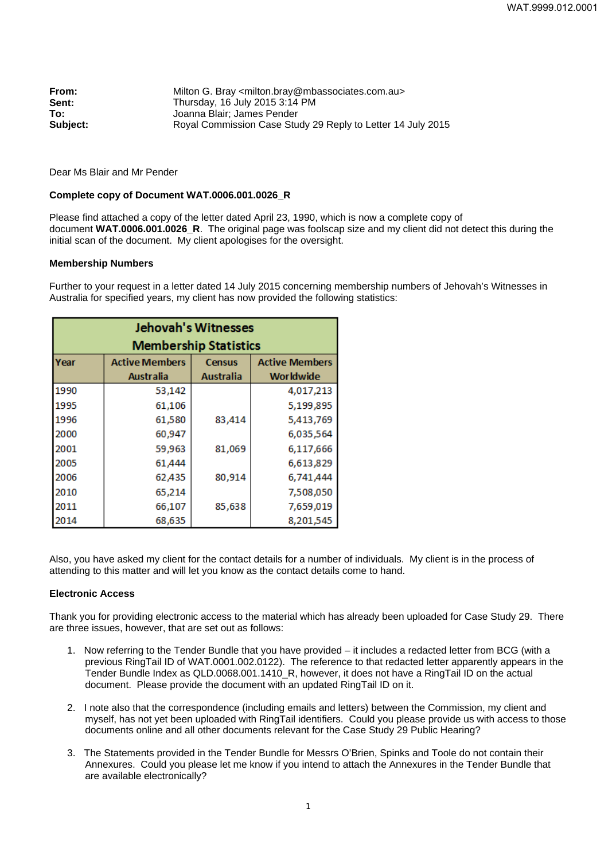| From:    | Milton G. Bray <milton.bray@mbassociates.com.au></milton.bray@mbassociates.com.au> |  |  |  |
|----------|------------------------------------------------------------------------------------|--|--|--|
| Sent:    | Thursday, 16 July 2015 3:14 PM                                                     |  |  |  |
| To:      | Joanna Blair: James Pender                                                         |  |  |  |
| Subject: | Royal Commission Case Study 29 Reply to Letter 14 July 2015                        |  |  |  |

Dear Ms Blair and Mr Pender

## **Complete copy of Document WAT.0006.001.0026\_R**

Please find attached a copy of the letter dated April 23, 1990, which is now a complete copy of document **WAT.0006.001.0026\_R**. The original page was foolscap size and my client did not detect this during the initial scan of the document. My client apologises for the oversight.

## **Membership Numbers**

Further to your request in a letter dated 14 July 2015 concerning membership numbers of Jehovah's Witnesses in Australia for specified years, my client has now provided the following statistics:

| <b>Jehovah's Witnesses</b>   |                       |               |                       |  |
|------------------------------|-----------------------|---------------|-----------------------|--|
| <b>Membership Statistics</b> |                       |               |                       |  |
| Year                         | <b>Active Members</b> | <b>Census</b> | <b>Active Members</b> |  |
|                              | Australia             | Australia     | <b>Worldwide</b>      |  |
| 1990                         | 53,142                |               | 4,017,213             |  |
| 1995                         | 61,106                |               | 5,199,895             |  |
| 1996                         | 61,580                | 83,414        | 5,413,769             |  |
| 2000                         | 60,947                |               | 6,035,564             |  |
| 2001                         | 59,963                | 81,069        | 6,117,666             |  |
| 2005                         | 61,444                |               | 6,613,829             |  |
| 2006                         | 62,435                | 80,914        | 6,741,444             |  |
| 2010                         | 65,214                |               | 7,508,050             |  |
| 2011                         | 66,107                | 85,638        | 7,659,019             |  |
| 2014                         | 68,635                |               | 8,201,545             |  |

Also, you have asked my client for the contact details for a number of individuals. My client is in the process of attending to this matter and will let you know as the contact details come to hand.

## **Electronic Access**

Thank you for providing electronic access to the material which has already been uploaded for Case Study 29. There are three issues, however, that are set out as follows:

- 1. Now referring to the Tender Bundle that you have provided it includes a redacted letter from BCG (with a previous RingTail ID of WAT.0001.002.0122). The reference to that redacted letter apparently appears in the Tender Bundle Index as QLD.0068.001.1410 R, however, it does not have a RingTail ID on the actual document. Please provide the document with an updated RingTail ID on it.
- 2. I note also that the correspondence (including emails and letters) between the Commission, my client and myself, has not yet been uploaded with RingTail identifiers. Could you please provide us with access to those documents online and all other documents relevant for the Case Study 29 Public Hearing?
- 3. The Statements provided in the Tender Bundle for Messrs O'Brien, Spinks and Toole do not contain their Annexures. Could you please let me know if you intend to attach the Annexures in the Tender Bundle that are available electronically?